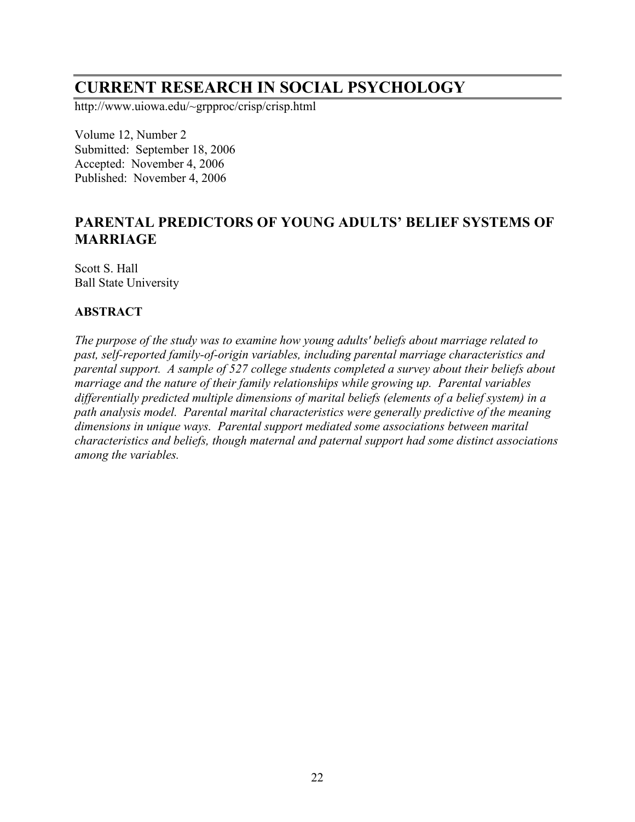# **CURRENT RESEARCH IN SOCIAL PSYCHOLOGY**

http://www.uiowa.edu/~grpproc/crisp/crisp.html

Volume 12, Number 2 Submitted: September 18, 2006 Accepted: November 4, 2006 Published: November 4, 2006

## **PARENTAL PREDICTORS OF YOUNG ADULTS' BELIEF SYSTEMS OF MARRIAGE**

Scott S. Hall Ball State University

#### **ABSTRACT**

*The purpose of the study was to examine how young adults' beliefs about marriage related to past, self-reported family-of-origin variables, including parental marriage characteristics and parental support. A sample of 527 college students completed a survey about their beliefs about marriage and the nature of their family relationships while growing up. Parental variables differentially predicted multiple dimensions of marital beliefs (elements of a belief system) in a path analysis model. Parental marital characteristics were generally predictive of the meaning dimensions in unique ways. Parental support mediated some associations between marital characteristics and beliefs, though maternal and paternal support had some distinct associations among the variables.*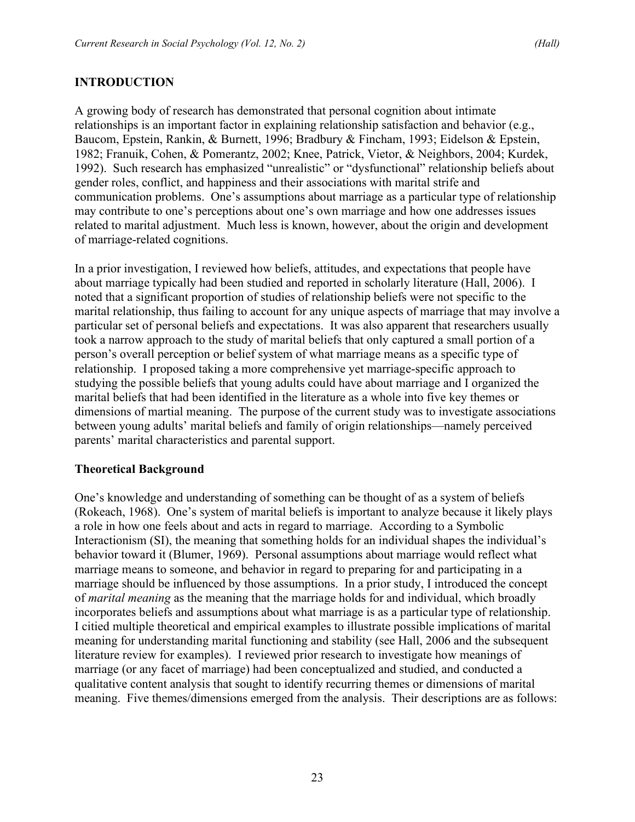## **INTRODUCTION**

A growing body of research has demonstrated that personal cognition about intimate relationships is an important factor in explaining relationship satisfaction and behavior (e.g., Baucom, Epstein, Rankin, & Burnett, 1996; Bradbury & Fincham, 1993; Eidelson & Epstein, 1982; Franuik, Cohen, & Pomerantz, 2002; Knee, Patrick, Vietor, & Neighbors, 2004; Kurdek, 1992). Such research has emphasized "unrealistic" or "dysfunctional" relationship beliefs about gender roles, conflict, and happiness and their associations with marital strife and communication problems. One's assumptions about marriage as a particular type of relationship may contribute to one's perceptions about one's own marriage and how one addresses issues related to marital adjustment. Much less is known, however, about the origin and development of marriage-related cognitions.

In a prior investigation, I reviewed how beliefs, attitudes, and expectations that people have about marriage typically had been studied and reported in scholarly literature (Hall, 2006). I noted that a significant proportion of studies of relationship beliefs were not specific to the marital relationship, thus failing to account for any unique aspects of marriage that may involve a particular set of personal beliefs and expectations. It was also apparent that researchers usually took a narrow approach to the study of marital beliefs that only captured a small portion of a person's overall perception or belief system of what marriage means as a specific type of relationship. I proposed taking a more comprehensive yet marriage-specific approach to studying the possible beliefs that young adults could have about marriage and I organized the marital beliefs that had been identified in the literature as a whole into five key themes or dimensions of martial meaning. The purpose of the current study was to investigate associations between young adults' marital beliefs and family of origin relationships—namely perceived parents' marital characteristics and parental support.

#### **Theoretical Background**

One's knowledge and understanding of something can be thought of as a system of beliefs (Rokeach, 1968). One's system of marital beliefs is important to analyze because it likely plays a role in how one feels about and acts in regard to marriage. According to a Symbolic Interactionism (SI), the meaning that something holds for an individual shapes the individual's behavior toward it (Blumer, 1969). Personal assumptions about marriage would reflect what marriage means to someone, and behavior in regard to preparing for and participating in a marriage should be influenced by those assumptions. In a prior study, I introduced the concept of *marital meaning* as the meaning that the marriage holds for and individual, which broadly incorporates beliefs and assumptions about what marriage is as a particular type of relationship. I citied multiple theoretical and empirical examples to illustrate possible implications of marital meaning for understanding marital functioning and stability (see Hall, 2006 and the subsequent literature review for examples). I reviewed prior research to investigate how meanings of marriage (or any facet of marriage) had been conceptualized and studied, and conducted a qualitative content analysis that sought to identify recurring themes or dimensions of marital meaning. Five themes/dimensions emerged from the analysis. Their descriptions are as follows: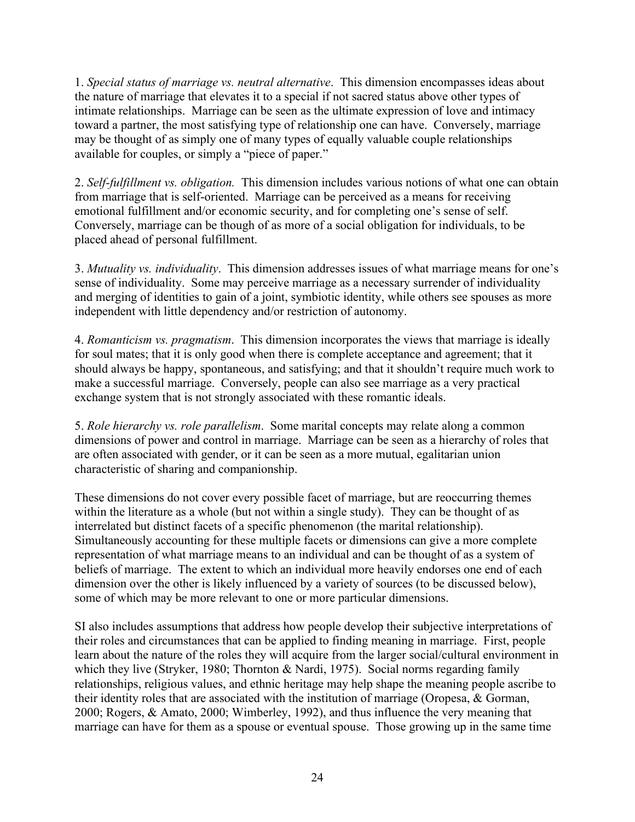1. *Special status of marriage vs. neutral alternative*. This dimension encompasses ideas about the nature of marriage that elevates it to a special if not sacred status above other types of intimate relationships. Marriage can be seen as the ultimate expression of love and intimacy toward a partner, the most satisfying type of relationship one can have. Conversely, marriage may be thought of as simply one of many types of equally valuable couple relationships available for couples, or simply a "piece of paper."

2. *Self-fulfillment vs. obligation.* This dimension includes various notions of what one can obtain from marriage that is self-oriented. Marriage can be perceived as a means for receiving emotional fulfillment and/or economic security, and for completing one's sense of self. Conversely, marriage can be though of as more of a social obligation for individuals, to be placed ahead of personal fulfillment.

3. *Mutuality vs. individuality*. This dimension addresses issues of what marriage means for one's sense of individuality. Some may perceive marriage as a necessary surrender of individuality and merging of identities to gain of a joint, symbiotic identity, while others see spouses as more independent with little dependency and/or restriction of autonomy.

4. *Romanticism vs. pragmatism*. This dimension incorporates the views that marriage is ideally for soul mates; that it is only good when there is complete acceptance and agreement; that it should always be happy, spontaneous, and satisfying; and that it shouldn't require much work to make a successful marriage. Conversely, people can also see marriage as a very practical exchange system that is not strongly associated with these romantic ideals.

5. *Role hierarchy vs. role parallelism*. Some marital concepts may relate along a common dimensions of power and control in marriage. Marriage can be seen as a hierarchy of roles that are often associated with gender, or it can be seen as a more mutual, egalitarian union characteristic of sharing and companionship.

These dimensions do not cover every possible facet of marriage, but are reoccurring themes within the literature as a whole (but not within a single study). They can be thought of as interrelated but distinct facets of a specific phenomenon (the marital relationship). Simultaneously accounting for these multiple facets or dimensions can give a more complete representation of what marriage means to an individual and can be thought of as a system of beliefs of marriage. The extent to which an individual more heavily endorses one end of each dimension over the other is likely influenced by a variety of sources (to be discussed below), some of which may be more relevant to one or more particular dimensions.

SI also includes assumptions that address how people develop their subjective interpretations of their roles and circumstances that can be applied to finding meaning in marriage. First, people learn about the nature of the roles they will acquire from the larger social/cultural environment in which they live (Stryker, 1980; Thornton & Nardi, 1975). Social norms regarding family relationships, religious values, and ethnic heritage may help shape the meaning people ascribe to their identity roles that are associated with the institution of marriage (Oropesa, & Gorman, 2000; Rogers, & Amato, 2000; Wimberley, 1992), and thus influence the very meaning that marriage can have for them as a spouse or eventual spouse. Those growing up in the same time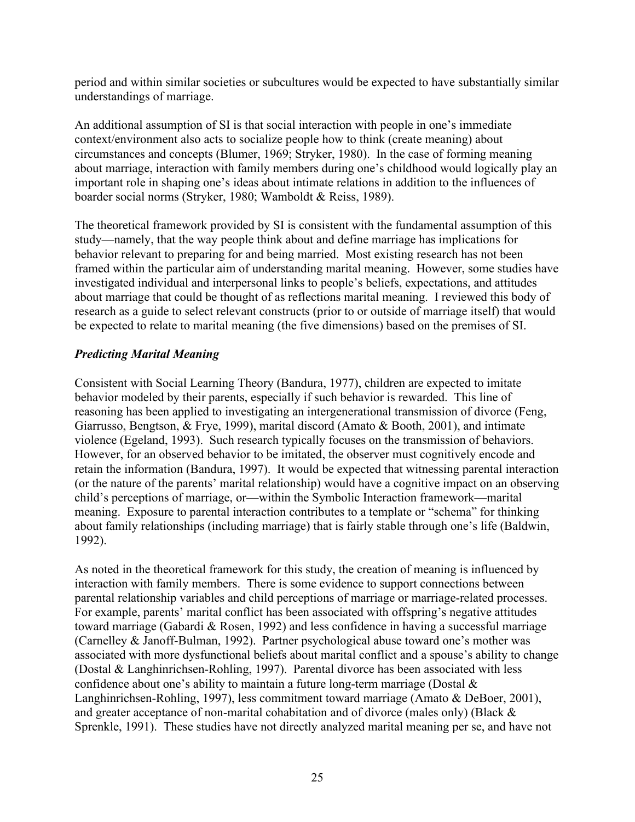period and within similar societies or subcultures would be expected to have substantially similar understandings of marriage.

An additional assumption of SI is that social interaction with people in one's immediate context/environment also acts to socialize people how to think (create meaning) about circumstances and concepts (Blumer, 1969; Stryker, 1980). In the case of forming meaning about marriage, interaction with family members during one's childhood would logically play an important role in shaping one's ideas about intimate relations in addition to the influences of boarder social norms (Stryker, 1980; Wamboldt & Reiss, 1989).

The theoretical framework provided by SI is consistent with the fundamental assumption of this study—namely, that the way people think about and define marriage has implications for behavior relevant to preparing for and being married. Most existing research has not been framed within the particular aim of understanding marital meaning. However, some studies have investigated individual and interpersonal links to people's beliefs, expectations, and attitudes about marriage that could be thought of as reflections marital meaning. I reviewed this body of research as a guide to select relevant constructs (prior to or outside of marriage itself) that would be expected to relate to marital meaning (the five dimensions) based on the premises of SI.

#### *Predicting Marital Meaning*

Consistent with Social Learning Theory (Bandura, 1977), children are expected to imitate behavior modeled by their parents, especially if such behavior is rewarded. This line of reasoning has been applied to investigating an intergenerational transmission of divorce (Feng, Giarrusso, Bengtson, & Frye, 1999), marital discord (Amato & Booth, 2001), and intimate violence (Egeland, 1993). Such research typically focuses on the transmission of behaviors. However, for an observed behavior to be imitated, the observer must cognitively encode and retain the information (Bandura, 1997). It would be expected that witnessing parental interaction (or the nature of the parents' marital relationship) would have a cognitive impact on an observing child's perceptions of marriage, or—within the Symbolic Interaction framework—marital meaning. Exposure to parental interaction contributes to a template or "schema" for thinking about family relationships (including marriage) that is fairly stable through one's life (Baldwin, 1992).

As noted in the theoretical framework for this study, the creation of meaning is influenced by interaction with family members. There is some evidence to support connections between parental relationship variables and child perceptions of marriage or marriage-related processes. For example, parents' marital conflict has been associated with offspring's negative attitudes toward marriage (Gabardi & Rosen, 1992) and less confidence in having a successful marriage (Carnelley & Janoff-Bulman, 1992). Partner psychological abuse toward one's mother was associated with more dysfunctional beliefs about marital conflict and a spouse's ability to change (Dostal & Langhinrichsen-Rohling, 1997). Parental divorce has been associated with less confidence about one's ability to maintain a future long-term marriage (Dostal & Langhinrichsen-Rohling, 1997), less commitment toward marriage (Amato & DeBoer, 2001), and greater acceptance of non-marital cohabitation and of divorce (males only) (Black & Sprenkle, 1991). These studies have not directly analyzed marital meaning per se, and have not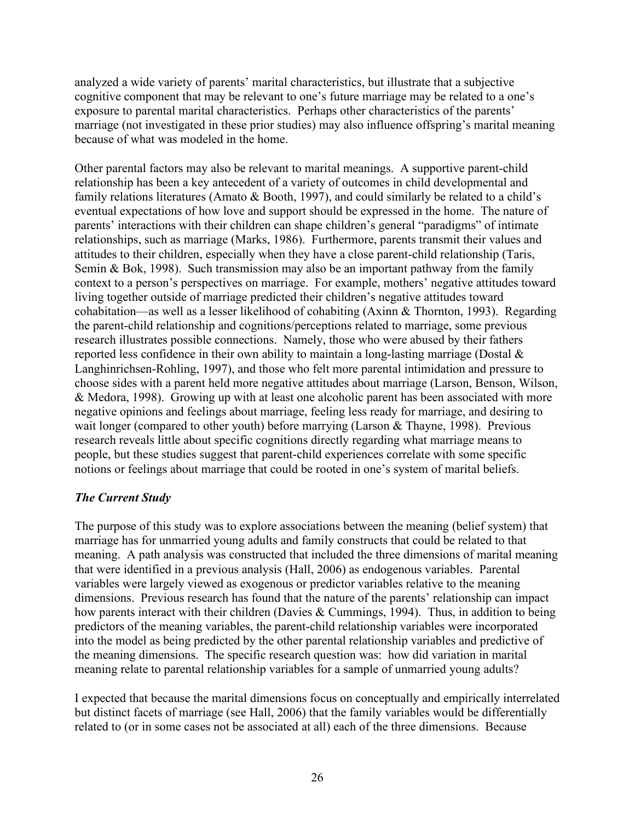analyzed a wide variety of parents' marital characteristics, but illustrate that a subjective cognitive component that may be relevant to one's future marriage may be related to a one's exposure to parental marital characteristics. Perhaps other characteristics of the parents' marriage (not investigated in these prior studies) may also influence offspring's marital meaning because of what was modeled in the home.

Other parental factors may also be relevant to marital meanings. A supportive parent-child relationship has been a key antecedent of a variety of outcomes in child developmental and family relations literatures (Amato & Booth, 1997), and could similarly be related to a child's eventual expectations of how love and support should be expressed in the home. The nature of parents' interactions with their children can shape children's general "paradigms" of intimate relationships, such as marriage (Marks, 1986). Furthermore, parents transmit their values and attitudes to their children, especially when they have a close parent-child relationship (Taris, Semin  $& Bok$ , 1998). Such transmission may also be an important pathway from the family context to a person's perspectives on marriage. For example, mothers' negative attitudes toward living together outside of marriage predicted their children's negative attitudes toward cohabitation—as well as a lesser likelihood of cohabiting (Axinn & Thornton, 1993). Regarding the parent-child relationship and cognitions/perceptions related to marriage, some previous research illustrates possible connections. Namely, those who were abused by their fathers reported less confidence in their own ability to maintain a long-lasting marriage (Dostal & Langhinrichsen-Rohling, 1997), and those who felt more parental intimidation and pressure to choose sides with a parent held more negative attitudes about marriage (Larson, Benson, Wilson, & Medora, 1998). Growing up with at least one alcoholic parent has been associated with more negative opinions and feelings about marriage, feeling less ready for marriage, and desiring to wait longer (compared to other youth) before marrying (Larson & Thayne, 1998). Previous research reveals little about specific cognitions directly regarding what marriage means to people, but these studies suggest that parent-child experiences correlate with some specific notions or feelings about marriage that could be rooted in one's system of marital beliefs.

#### *The Current Study*

The purpose of this study was to explore associations between the meaning (belief system) that marriage has for unmarried young adults and family constructs that could be related to that meaning. A path analysis was constructed that included the three dimensions of marital meaning that were identified in a previous analysis (Hall, 2006) as endogenous variables. Parental variables were largely viewed as exogenous or predictor variables relative to the meaning dimensions. Previous research has found that the nature of the parents' relationship can impact how parents interact with their children (Davies & Cummings, 1994). Thus, in addition to being predictors of the meaning variables, the parent-child relationship variables were incorporated into the model as being predicted by the other parental relationship variables and predictive of the meaning dimensions. The specific research question was: how did variation in marital meaning relate to parental relationship variables for a sample of unmarried young adults?

I expected that because the marital dimensions focus on conceptually and empirically interrelated but distinct facets of marriage (see Hall, 2006) that the family variables would be differentially related to (or in some cases not be associated at all) each of the three dimensions. Because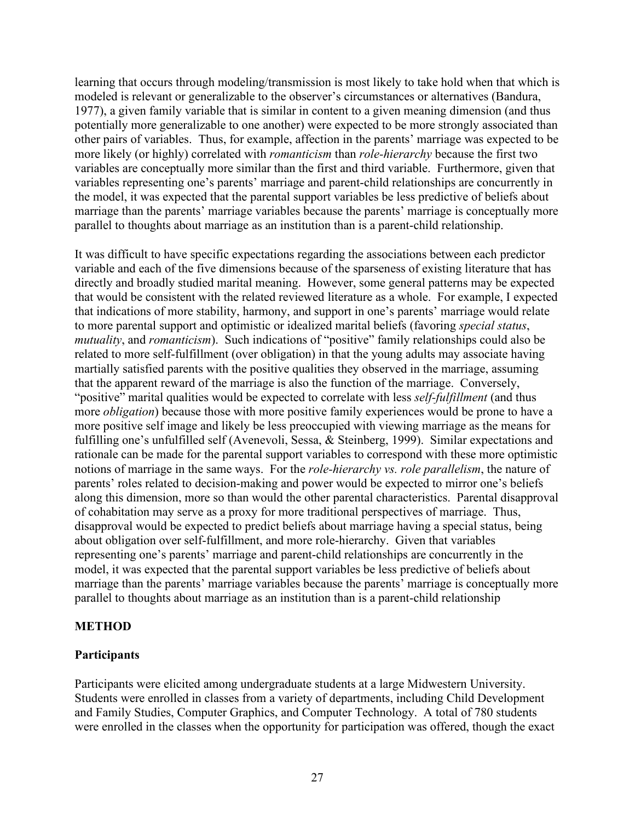learning that occurs through modeling/transmission is most likely to take hold when that which is modeled is relevant or generalizable to the observer's circumstances or alternatives (Bandura, 1977), a given family variable that is similar in content to a given meaning dimension (and thus potentially more generalizable to one another) were expected to be more strongly associated than other pairs of variables. Thus, for example, affection in the parents' marriage was expected to be more likely (or highly) correlated with *romanticism* than *role-hierarchy* because the first two variables are conceptually more similar than the first and third variable. Furthermore, given that variables representing one's parents' marriage and parent-child relationships are concurrently in the model, it was expected that the parental support variables be less predictive of beliefs about marriage than the parents' marriage variables because the parents' marriage is conceptually more parallel to thoughts about marriage as an institution than is a parent-child relationship.

It was difficult to have specific expectations regarding the associations between each predictor variable and each of the five dimensions because of the sparseness of existing literature that has directly and broadly studied marital meaning. However, some general patterns may be expected that would be consistent with the related reviewed literature as a whole. For example, I expected that indications of more stability, harmony, and support in one's parents' marriage would relate to more parental support and optimistic or idealized marital beliefs (favoring *special status*, *mutuality*, and *romanticism*). Such indications of "positive" family relationships could also be related to more self-fulfillment (over obligation) in that the young adults may associate having martially satisfied parents with the positive qualities they observed in the marriage, assuming that the apparent reward of the marriage is also the function of the marriage. Conversely, "positive" marital qualities would be expected to correlate with less *self-fulfillment* (and thus more *obligation*) because those with more positive family experiences would be prone to have a more positive self image and likely be less preoccupied with viewing marriage as the means for fulfilling one's unfulfilled self (Avenevoli, Sessa, & Steinberg, 1999). Similar expectations and rationale can be made for the parental support variables to correspond with these more optimistic notions of marriage in the same ways. For the *role-hierarchy vs. role parallelism*, the nature of parents' roles related to decision-making and power would be expected to mirror one's beliefs along this dimension, more so than would the other parental characteristics. Parental disapproval of cohabitation may serve as a proxy for more traditional perspectives of marriage. Thus, disapproval would be expected to predict beliefs about marriage having a special status, being about obligation over self-fulfillment, and more role-hierarchy. Given that variables representing one's parents' marriage and parent-child relationships are concurrently in the model, it was expected that the parental support variables be less predictive of beliefs about marriage than the parents' marriage variables because the parents' marriage is conceptually more parallel to thoughts about marriage as an institution than is a parent-child relationship

#### **METHOD**

#### **Participants**

Participants were elicited among undergraduate students at a large Midwestern University. Students were enrolled in classes from a variety of departments, including Child Development and Family Studies, Computer Graphics, and Computer Technology. A total of 780 students were enrolled in the classes when the opportunity for participation was offered, though the exact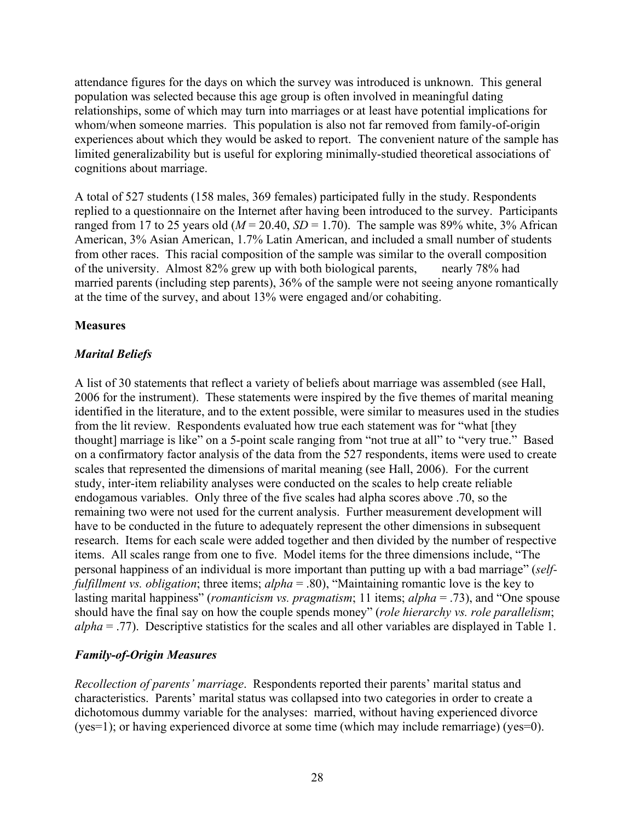attendance figures for the days on which the survey was introduced is unknown. This general population was selected because this age group is often involved in meaningful dating relationships, some of which may turn into marriages or at least have potential implications for whom/when someone marries. This population is also not far removed from family-of-origin experiences about which they would be asked to report. The convenient nature of the sample has limited generalizability but is useful for exploring minimally-studied theoretical associations of cognitions about marriage.

A total of 527 students (158 males, 369 females) participated fully in the study. Respondents replied to a questionnaire on the Internet after having been introduced to the survey. Participants ranged from 17 to 25 years old ( $M = 20.40$ ,  $SD = 1.70$ ). The sample was 89% white, 3% African American, 3% Asian American, 1.7% Latin American, and included a small number of students from other races. This racial composition of the sample was similar to the overall composition of the university. Almost 82% grew up with both biological parents, nearly 78% had married parents (including step parents), 36% of the sample were not seeing anyone romantically at the time of the survey, and about 13% were engaged and/or cohabiting.

## **Measures**

## *Marital Beliefs*

A list of 30 statements that reflect a variety of beliefs about marriage was assembled (see Hall, 2006 for the instrument). These statements were inspired by the five themes of marital meaning identified in the literature, and to the extent possible, were similar to measures used in the studies from the lit review. Respondents evaluated how true each statement was for "what [they thought] marriage is like" on a 5-point scale ranging from "not true at all" to "very true." Based on a confirmatory factor analysis of the data from the 527 respondents, items were used to create scales that represented the dimensions of marital meaning (see Hall, 2006). For the current study, inter-item reliability analyses were conducted on the scales to help create reliable endogamous variables. Only three of the five scales had alpha scores above .70, so the remaining two were not used for the current analysis. Further measurement development will have to be conducted in the future to adequately represent the other dimensions in subsequent research. Items for each scale were added together and then divided by the number of respective items. All scales range from one to five. Model items for the three dimensions include, "The personal happiness of an individual is more important than putting up with a bad marriage" (*selffulfillment vs. obligation*; three items; *alpha* = .80), "Maintaining romantic love is the key to lasting marital happiness" (*romanticism vs. pragmatism*; 11 items; *alpha* = .73), and "One spouse should have the final say on how the couple spends money" (*role hierarchy vs. role parallelism*; *alpha* = .77). Descriptive statistics for the scales and all other variables are displayed in Table 1.

#### *Family-of-Origin Measures*

*Recollection of parents' marriage*. Respondents reported their parents' marital status and characteristics. Parents' marital status was collapsed into two categories in order to create a dichotomous dummy variable for the analyses: married, without having experienced divorce (yes=1); or having experienced divorce at some time (which may include remarriage) (yes=0).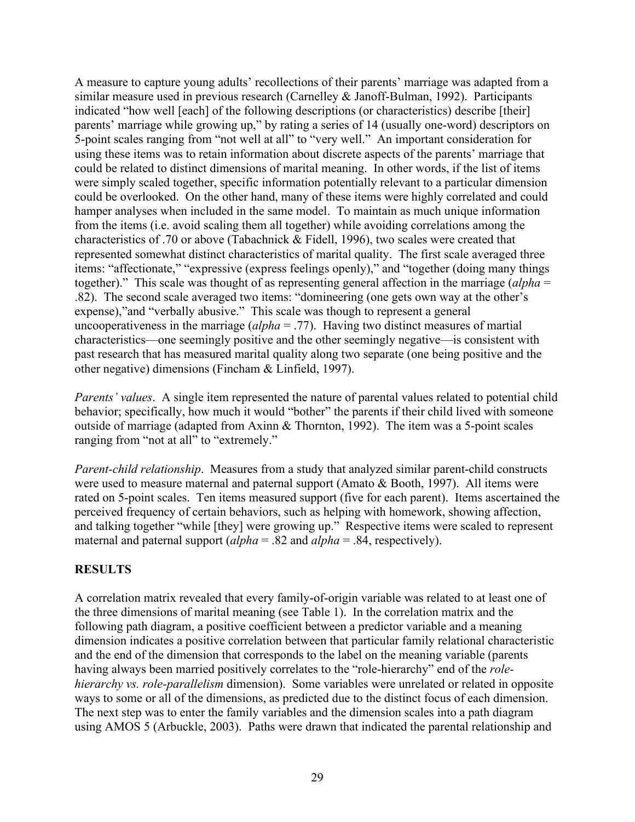A measure to capture young adults' recollections of their parents' marriage was adapted from a similar measure used in previous research (Carnelley & Janoff-Bulman, 1992). Participants indicated "how well [each] of the following descriptions (or characteristics) describe [their] parents' marriage while growing up," by rating a series of 14 (usually one-word) descriptors on 5-point scales ranging from "not well at all" to "very well." An important consideration for using these items was to retain information about discrete aspects of the parents' marriage that could be related to distinct dimensions of marital meaning. In other words, if the list of items were simply scaled together, specific information potentially relevant to a particular dimension could be overlooked. On the other hand, many of these items were highly correlated and could hamper analyses when included in the same model. To maintain as much unique information from the items (i.e. avoid scaling them all together) while avoiding correlations among the characteristics of .70 or above (Tabachnick & Fidell, 1996), two scales were created that represented somewhat distinct characteristics of marital quality. The first scale averaged three items: "affectionate," "expressive (express feelings openly)," and "together (doing many things together)." This scale was thought of as representing general affection in the marriage (*alpha* = .82). The second scale averaged two items: "domineering (one gets own way at the other's expense),"and "verbally abusive." This scale was though to represent a general uncooperativeness in the marriage (*alpha* = .77). Having two distinct measures of martial characteristics—one seemingly positive and the other seemingly negative—is consistent with past research that has measured marital quality along two separate (one being positive and the other negative) dimensions (Fincham & Linfield, 1997).

*Parents' values.* A single item represented the nature of parental values related to potential child behavior; specifically, how much it would "bother" the parents if their child lived with someone outside of marriage (adapted from Axinn & Thornton, 1992). The item was a 5-point scales ranging from "not at all" to "extremely."

*Parent-child relationship*. Measures from a study that analyzed similar parent-child constructs were used to measure maternal and paternal support (Amato & Booth, 1997). All items were rated on 5-point scales. Ten items measured support (five for each parent). Items ascertained the perceived frequency of certain behaviors, such as helping with homework, showing affection, and talking together "while [they] were growing up." Respective items were scaled to represent maternal and paternal support (*alpha* = .82 and *alpha* = .84, respectively).

#### **RESULTS**

A correlation matrix revealed that every family-of-origin variable was related to at least one of the three dimensions of marital meaning (see Table 1). In the correlation matrix and the following path diagram, a positive coefficient between a predictor variable and a meaning dimension indicates a positive correlation between that particular family relational characteristic and the end of the dimension that corresponds to the label on the meaning variable (parents having always been married positively correlates to the "role-hierarchy" end of the *rolehierarchy vs. role-parallelism* dimension). Some variables were unrelated or related in opposite ways to some or all of the dimensions, as predicted due to the distinct focus of each dimension. The next step was to enter the family variables and the dimension scales into a path diagram using AMOS 5 (Arbuckle, 2003). Paths were drawn that indicated the parental relationship and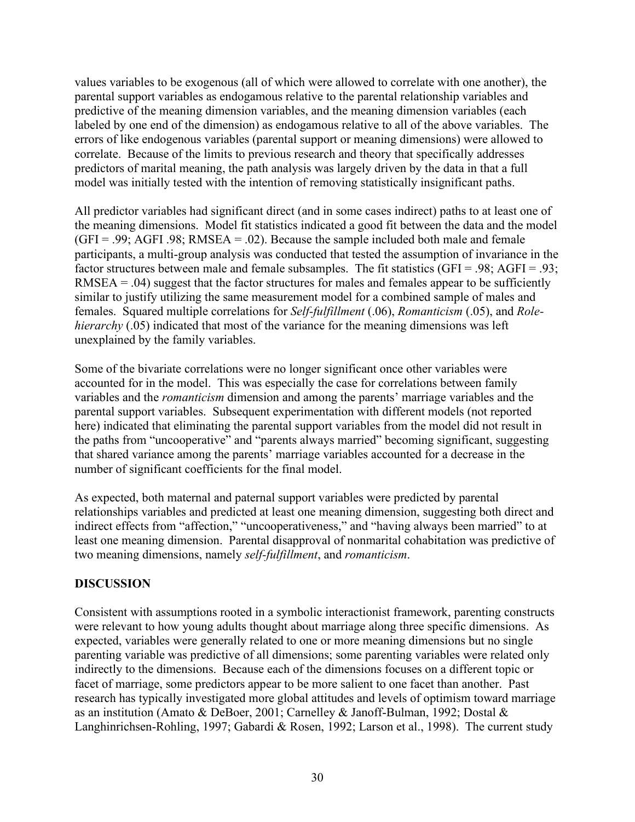values variables to be exogenous (all of which were allowed to correlate with one another), the parental support variables as endogamous relative to the parental relationship variables and predictive of the meaning dimension variables, and the meaning dimension variables (each labeled by one end of the dimension) as endogamous relative to all of the above variables. The errors of like endogenous variables (parental support or meaning dimensions) were allowed to correlate. Because of the limits to previous research and theory that specifically addresses predictors of marital meaning, the path analysis was largely driven by the data in that a full model was initially tested with the intention of removing statistically insignificant paths.

All predictor variables had significant direct (and in some cases indirect) paths to at least one of the meaning dimensions. Model fit statistics indicated a good fit between the data and the model  $(GFI = .99; AGFI .98; RMSEA = .02)$ . Because the sample included both male and female participants, a multi-group analysis was conducted that tested the assumption of invariance in the factor structures between male and female subsamples. The fit statistics (GFI = .98; AGFI = .93;  $RMSEA = .04$ ) suggest that the factor structures for males and females appear to be sufficiently similar to justify utilizing the same measurement model for a combined sample of males and females. Squared multiple correlations for *Self-fulfillment* (.06), *Romanticism* (.05), and *Rolehierarchy* (.05) indicated that most of the variance for the meaning dimensions was left unexplained by the family variables.

Some of the bivariate correlations were no longer significant once other variables were accounted for in the model. This was especially the case for correlations between family variables and the *romanticism* dimension and among the parents' marriage variables and the parental support variables. Subsequent experimentation with different models (not reported here) indicated that eliminating the parental support variables from the model did not result in the paths from "uncooperative" and "parents always married" becoming significant, suggesting that shared variance among the parents' marriage variables accounted for a decrease in the number of significant coefficients for the final model.

As expected, both maternal and paternal support variables were predicted by parental relationships variables and predicted at least one meaning dimension, suggesting both direct and indirect effects from "affection," "uncooperativeness," and "having always been married" to at least one meaning dimension. Parental disapproval of nonmarital cohabitation was predictive of two meaning dimensions, namely *self-fulfillment*, and *romanticism*.

#### **DISCUSSION**

Consistent with assumptions rooted in a symbolic interactionist framework, parenting constructs were relevant to how young adults thought about marriage along three specific dimensions. As expected, variables were generally related to one or more meaning dimensions but no single parenting variable was predictive of all dimensions; some parenting variables were related only indirectly to the dimensions. Because each of the dimensions focuses on a different topic or facet of marriage, some predictors appear to be more salient to one facet than another. Past research has typically investigated more global attitudes and levels of optimism toward marriage as an institution (Amato & DeBoer, 2001; Carnelley & Janoff-Bulman, 1992; Dostal & Langhinrichsen-Rohling, 1997; Gabardi & Rosen, 1992; Larson et al., 1998). The current study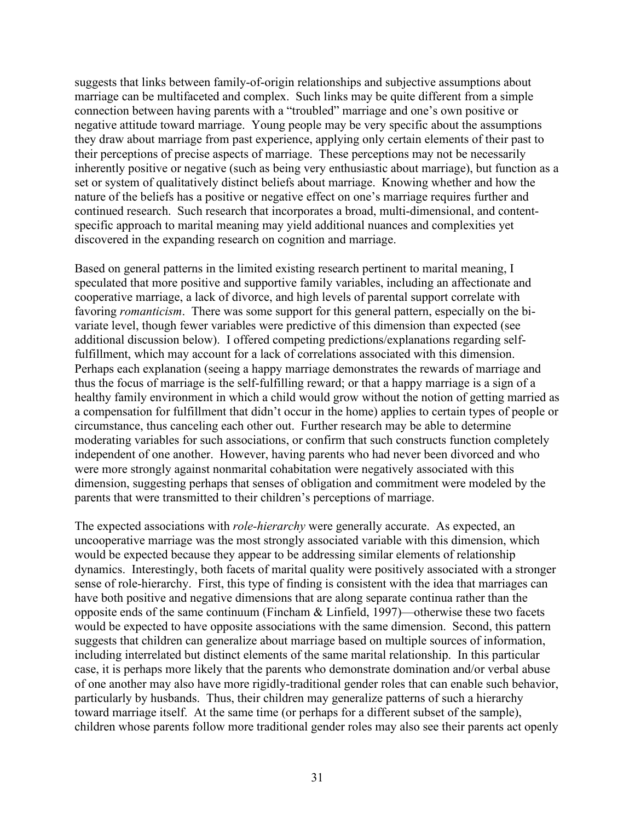suggests that links between family-of-origin relationships and subjective assumptions about marriage can be multifaceted and complex. Such links may be quite different from a simple connection between having parents with a "troubled" marriage and one's own positive or negative attitude toward marriage. Young people may be very specific about the assumptions they draw about marriage from past experience, applying only certain elements of their past to their perceptions of precise aspects of marriage. These perceptions may not be necessarily inherently positive or negative (such as being very enthusiastic about marriage), but function as a set or system of qualitatively distinct beliefs about marriage. Knowing whether and how the nature of the beliefs has a positive or negative effect on one's marriage requires further and continued research. Such research that incorporates a broad, multi-dimensional, and contentspecific approach to marital meaning may yield additional nuances and complexities yet discovered in the expanding research on cognition and marriage.

Based on general patterns in the limited existing research pertinent to marital meaning, I speculated that more positive and supportive family variables, including an affectionate and cooperative marriage, a lack of divorce, and high levels of parental support correlate with favoring *romanticism*. There was some support for this general pattern, especially on the bivariate level, though fewer variables were predictive of this dimension than expected (see additional discussion below). I offered competing predictions/explanations regarding selffulfillment, which may account for a lack of correlations associated with this dimension. Perhaps each explanation (seeing a happy marriage demonstrates the rewards of marriage and thus the focus of marriage is the self-fulfilling reward; or that a happy marriage is a sign of a healthy family environment in which a child would grow without the notion of getting married as a compensation for fulfillment that didn't occur in the home) applies to certain types of people or circumstance, thus canceling each other out. Further research may be able to determine moderating variables for such associations, or confirm that such constructs function completely independent of one another. However, having parents who had never been divorced and who were more strongly against nonmarital cohabitation were negatively associated with this dimension, suggesting perhaps that senses of obligation and commitment were modeled by the parents that were transmitted to their children's perceptions of marriage.

The expected associations with *role-hierarchy* were generally accurate. As expected, an uncooperative marriage was the most strongly associated variable with this dimension, which would be expected because they appear to be addressing similar elements of relationship dynamics. Interestingly, both facets of marital quality were positively associated with a stronger sense of role-hierarchy. First, this type of finding is consistent with the idea that marriages can have both positive and negative dimensions that are along separate continua rather than the opposite ends of the same continuum (Fincham & Linfield, 1997)—otherwise these two facets would be expected to have opposite associations with the same dimension. Second, this pattern suggests that children can generalize about marriage based on multiple sources of information, including interrelated but distinct elements of the same marital relationship. In this particular case, it is perhaps more likely that the parents who demonstrate domination and/or verbal abuse of one another may also have more rigidly-traditional gender roles that can enable such behavior, particularly by husbands. Thus, their children may generalize patterns of such a hierarchy toward marriage itself. At the same time (or perhaps for a different subset of the sample), children whose parents follow more traditional gender roles may also see their parents act openly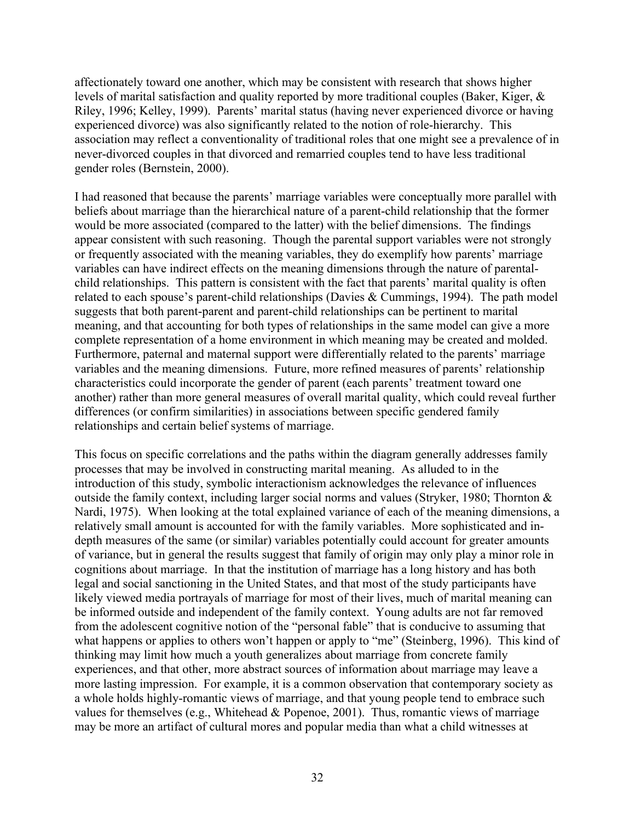affectionately toward one another, which may be consistent with research that shows higher levels of marital satisfaction and quality reported by more traditional couples (Baker, Kiger, & Riley, 1996; Kelley, 1999). Parents' marital status (having never experienced divorce or having experienced divorce) was also significantly related to the notion of role-hierarchy. This association may reflect a conventionality of traditional roles that one might see a prevalence of in never-divorced couples in that divorced and remarried couples tend to have less traditional gender roles (Bernstein, 2000).

I had reasoned that because the parents' marriage variables were conceptually more parallel with beliefs about marriage than the hierarchical nature of a parent-child relationship that the former would be more associated (compared to the latter) with the belief dimensions. The findings appear consistent with such reasoning. Though the parental support variables were not strongly or frequently associated with the meaning variables, they do exemplify how parents' marriage variables can have indirect effects on the meaning dimensions through the nature of parentalchild relationships. This pattern is consistent with the fact that parents' marital quality is often related to each spouse's parent-child relationships (Davies & Cummings, 1994). The path model suggests that both parent-parent and parent-child relationships can be pertinent to marital meaning, and that accounting for both types of relationships in the same model can give a more complete representation of a home environment in which meaning may be created and molded. Furthermore, paternal and maternal support were differentially related to the parents' marriage variables and the meaning dimensions. Future, more refined measures of parents' relationship characteristics could incorporate the gender of parent (each parents' treatment toward one another) rather than more general measures of overall marital quality, which could reveal further differences (or confirm similarities) in associations between specific gendered family relationships and certain belief systems of marriage.

This focus on specific correlations and the paths within the diagram generally addresses family processes that may be involved in constructing marital meaning. As alluded to in the introduction of this study, symbolic interactionism acknowledges the relevance of influences outside the family context, including larger social norms and values (Stryker, 1980; Thornton & Nardi, 1975). When looking at the total explained variance of each of the meaning dimensions, a relatively small amount is accounted for with the family variables. More sophisticated and indepth measures of the same (or similar) variables potentially could account for greater amounts of variance, but in general the results suggest that family of origin may only play a minor role in cognitions about marriage. In that the institution of marriage has a long history and has both legal and social sanctioning in the United States, and that most of the study participants have likely viewed media portrayals of marriage for most of their lives, much of marital meaning can be informed outside and independent of the family context. Young adults are not far removed from the adolescent cognitive notion of the "personal fable" that is conducive to assuming that what happens or applies to others won't happen or apply to "me" (Steinberg, 1996). This kind of thinking may limit how much a youth generalizes about marriage from concrete family experiences, and that other, more abstract sources of information about marriage may leave a more lasting impression. For example, it is a common observation that contemporary society as a whole holds highly-romantic views of marriage, and that young people tend to embrace such values for themselves (e.g., Whitehead  $& Popenoe, 2001$ ). Thus, romantic views of marriage may be more an artifact of cultural mores and popular media than what a child witnesses at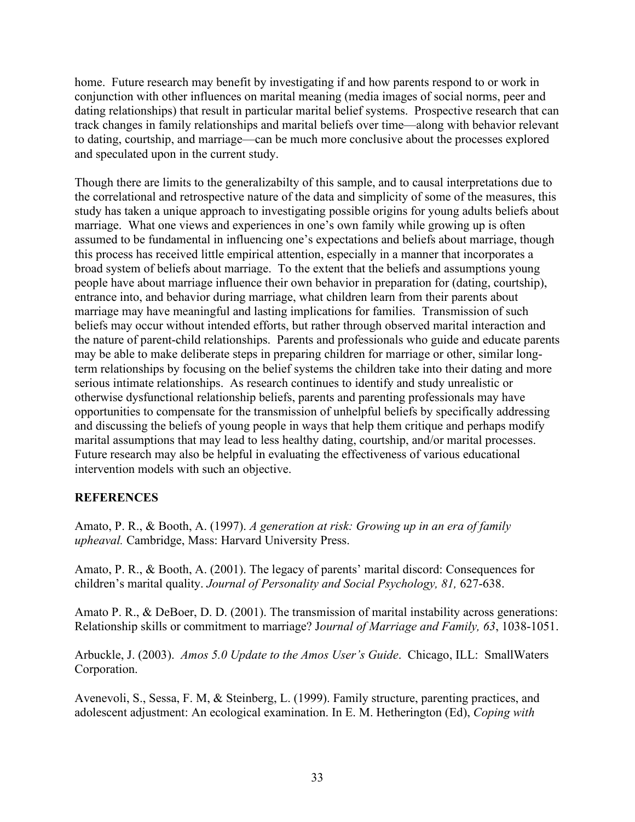home. Future research may benefit by investigating if and how parents respond to or work in conjunction with other influences on marital meaning (media images of social norms, peer and dating relationships) that result in particular marital belief systems. Prospective research that can track changes in family relationships and marital beliefs over time—along with behavior relevant to dating, courtship, and marriage—can be much more conclusive about the processes explored and speculated upon in the current study.

Though there are limits to the generalizabilty of this sample, and to causal interpretations due to the correlational and retrospective nature of the data and simplicity of some of the measures, this study has taken a unique approach to investigating possible origins for young adults beliefs about marriage. What one views and experiences in one's own family while growing up is often assumed to be fundamental in influencing one's expectations and beliefs about marriage, though this process has received little empirical attention, especially in a manner that incorporates a broad system of beliefs about marriage. To the extent that the beliefs and assumptions young people have about marriage influence their own behavior in preparation for (dating, courtship), entrance into, and behavior during marriage, what children learn from their parents about marriage may have meaningful and lasting implications for families. Transmission of such beliefs may occur without intended efforts, but rather through observed marital interaction and the nature of parent-child relationships. Parents and professionals who guide and educate parents may be able to make deliberate steps in preparing children for marriage or other, similar longterm relationships by focusing on the belief systems the children take into their dating and more serious intimate relationships. As research continues to identify and study unrealistic or otherwise dysfunctional relationship beliefs, parents and parenting professionals may have opportunities to compensate for the transmission of unhelpful beliefs by specifically addressing and discussing the beliefs of young people in ways that help them critique and perhaps modify marital assumptions that may lead to less healthy dating, courtship, and/or marital processes. Future research may also be helpful in evaluating the effectiveness of various educational intervention models with such an objective.

## **REFERENCES**

Amato, P. R., & Booth, A. (1997). *A generation at risk: Growing up in an era of family upheaval.* Cambridge, Mass: Harvard University Press.

Amato, P. R., & Booth, A. (2001). The legacy of parents' marital discord: Consequences for children's marital quality. *Journal of Personality and Social Psychology, 81,* 627-638.

Amato P. R., & DeBoer, D. D. (2001). The transmission of marital instability across generations: Relationship skills or commitment to marriage? J*ournal of Marriage and Family, 63*, 1038-1051.

Arbuckle, J. (2003). *Amos 5.0 Update to the Amos User's Guide*. Chicago, ILL: SmallWaters Corporation.

Avenevoli, S., Sessa, F. M, & Steinberg, L. (1999). Family structure, parenting practices, and adolescent adjustment: An ecological examination. In E. M. Hetherington (Ed), *Coping with*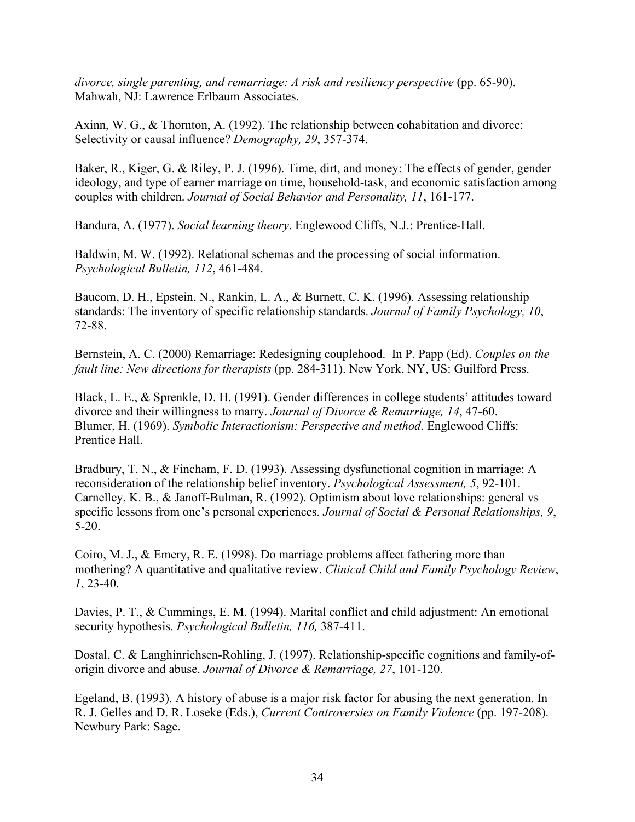*divorce, single parenting, and remarriage: A risk and resiliency perspective* (pp. 65-90). Mahwah, NJ: Lawrence Erlbaum Associates.

Axinn, W. G., & Thornton, A. (1992). The relationship between cohabitation and divorce: Selectivity or causal influence? *Demography, 29*, 357-374.

Baker, R., Kiger, G. & Riley, P. J. (1996). Time, dirt, and money: The effects of gender, gender ideology, and type of earner marriage on time, household-task, and economic satisfaction among couples with children. *Journal of Social Behavior and Personality, 11*, 161-177.

Bandura, A. (1977). *Social learning theory*. Englewood Cliffs, N.J.: Prentice-Hall.

Baldwin, M. W. (1992). Relational schemas and the processing of social information. *Psychological Bulletin, 112*, 461-484.

Baucom, D. H., Epstein, N., Rankin, L. A., & Burnett, C. K. (1996). Assessing relationship standards: The inventory of specific relationship standards. *Journal of Family Psychology, 10*, 72-88.

Bernstein, A. C. (2000) Remarriage: Redesigning couplehood. In P. Papp (Ed). *Couples on the fault line: New directions for therapists* (pp. 284-311). New York, NY, US: Guilford Press.

Black, L. E., & Sprenkle, D. H. (1991). Gender differences in college students' attitudes toward divorce and their willingness to marry. *Journal of Divorce & Remarriage, 14*, 47-60. Blumer, H. (1969). *Symbolic Interactionism: Perspective and method*. Englewood Cliffs: Prentice Hall.

Bradbury, T. N., & Fincham, F. D. (1993). Assessing dysfunctional cognition in marriage: A reconsideration of the relationship belief inventory. *Psychological Assessment, 5*, 92-101. Carnelley, K. B., & Janoff-Bulman, R. (1992). Optimism about love relationships: general vs specific lessons from one's personal experiences. *Journal of Social & Personal Relationships, 9*, 5-20.

Coiro, M. J., & Emery, R. E. (1998). Do marriage problems affect fathering more than mothering? A quantitative and qualitative review. *Clinical Child and Family Psychology Review*, *1*, 23-40.

Davies, P. T., & Cummings, E. M. (1994). Marital conflict and child adjustment: An emotional security hypothesis. *Psychological Bulletin, 116,* 387-411.

Dostal, C. & Langhinrichsen-Rohling, J. (1997). Relationship-specific cognitions and family-oforigin divorce and abuse. *Journal of Divorce & Remarriage, 27*, 101-120.

Egeland, B. (1993). A history of abuse is a major risk factor for abusing the next generation. In R. J. Gelles and D. R. Loseke (Eds.), *Current Controversies on Family Violence* (pp. 197-208). Newbury Park: Sage.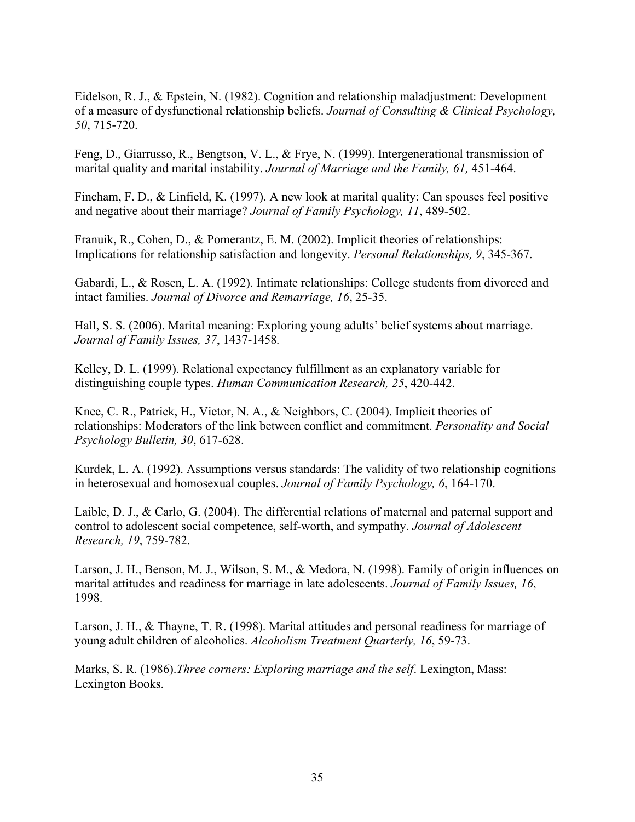Eidelson, R. J., & Epstein, N. (1982). Cognition and relationship maladjustment: Development of a measure of dysfunctional relationship beliefs. *Journal of Consulting & Clinical Psychology, 50*, 715-720.

Feng, D., Giarrusso, R., Bengtson, V. L., & Frye, N. (1999). Intergenerational transmission of marital quality and marital instability. *Journal of Marriage and the Family, 61,* 451-464.

Fincham, F. D., & Linfield, K. (1997). A new look at marital quality: Can spouses feel positive and negative about their marriage? *Journal of Family Psychology, 11*, 489-502.

Franuik, R., Cohen, D., & Pomerantz, E. M. (2002). Implicit theories of relationships: Implications for relationship satisfaction and longevity. *Personal Relationships, 9*, 345-367.

Gabardi, L., & Rosen, L. A. (1992). Intimate relationships: College students from divorced and intact families. *Journal of Divorce and Remarriage, 16*, 25-35.

Hall, S. S. (2006). Marital meaning: Exploring young adults' belief systems about marriage. *Journal of Family Issues, 37*, 1437-1458*.*

Kelley, D. L. (1999). Relational expectancy fulfillment as an explanatory variable for distinguishing couple types. *Human Communication Research, 25*, 420-442.

Knee, C. R., Patrick, H., Vietor, N. A., & Neighbors, C. (2004). Implicit theories of relationships: Moderators of the link between conflict and commitment. *Personality and Social Psychology Bulletin, 30*, 617-628.

Kurdek, L. A. (1992). Assumptions versus standards: The validity of two relationship cognitions in heterosexual and homosexual couples. *Journal of Family Psychology, 6*, 164-170.

Laible, D. J., & Carlo, G. (2004). The differential relations of maternal and paternal support and control to adolescent social competence, self-worth, and sympathy. *Journal of Adolescent Research, 19*, 759-782.

Larson, J. H., Benson, M. J., Wilson, S. M., & Medora, N. (1998). Family of origin influences on marital attitudes and readiness for marriage in late adolescents. *Journal of Family Issues, 16*, 1998.

Larson, J. H., & Thayne, T. R. (1998). Marital attitudes and personal readiness for marriage of young adult children of alcoholics. *Alcoholism Treatment Quarterly, 16*, 59-73.

Marks, S. R. (1986).*Three corners: Exploring marriage and the self*. Lexington, Mass: Lexington Books.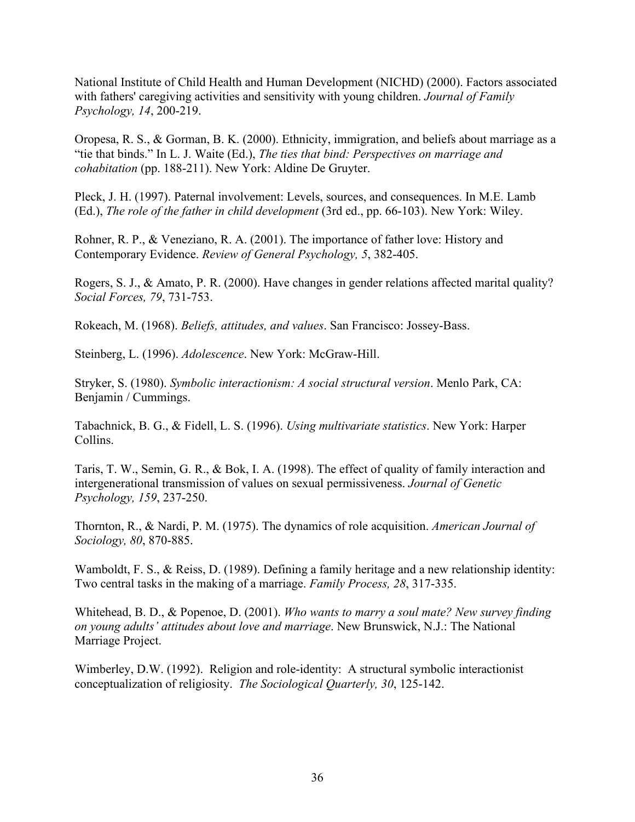National Institute of Child Health and Human Development (NICHD) (2000). Factors associated with fathers' caregiving activities and sensitivity with young children. *Journal of Family Psychology, 14*, 200-219.

Oropesa, R. S., & Gorman, B. K. (2000). Ethnicity, immigration, and beliefs about marriage as a "tie that binds." In L. J. Waite (Ed.), *The ties that bind: Perspectives on marriage and cohabitation* (pp. 188-211). New York: Aldine De Gruyter.

Pleck, J. H. (1997). Paternal involvement: Levels, sources, and consequences. In M.E. Lamb (Ed.), *The role of the father in child development* (3rd ed., pp. 66-103). New York: Wiley.

Rohner, R. P., & Veneziano, R. A. (2001). The importance of father love: History and Contemporary Evidence. *Review of General Psychology, 5*, 382-405.

Rogers, S. J., & Amato, P. R. (2000). Have changes in gender relations affected marital quality? *Social Forces, 79*, 731-753.

Rokeach, M. (1968). *Beliefs, attitudes, and values*. San Francisco: Jossey-Bass.

Steinberg, L. (1996). *Adolescence*. New York: McGraw-Hill.

Stryker, S. (1980). *Symbolic interactionism: A social structural version*. Menlo Park, CA: Benjamin / Cummings.

Tabachnick, B. G., & Fidell, L. S. (1996). *Using multivariate statistics*. New York: Harper Collins.

Taris, T. W., Semin, G. R., & Bok, I. A. (1998). The effect of quality of family interaction and intergenerational transmission of values on sexual permissiveness. *Journal of Genetic Psychology, 159*, 237-250.

Thornton, R., & Nardi, P. M. (1975). The dynamics of role acquisition. *American Journal of Sociology, 80*, 870-885.

Wamboldt, F. S., & Reiss, D. (1989). Defining a family heritage and a new relationship identity: Two central tasks in the making of a marriage. *Family Process, 28*, 317-335.

Whitehead, B. D., & Popenoe, D. (2001). *Who wants to marry a soul mate? New survey finding on young adults' attitudes about love and marriage*. New Brunswick, N.J.: The National Marriage Project.

Wimberley, D.W. (1992). Religion and role-identity: A structural symbolic interactionist conceptualization of religiosity. *The Sociological Quarterly, 30*, 125-142.